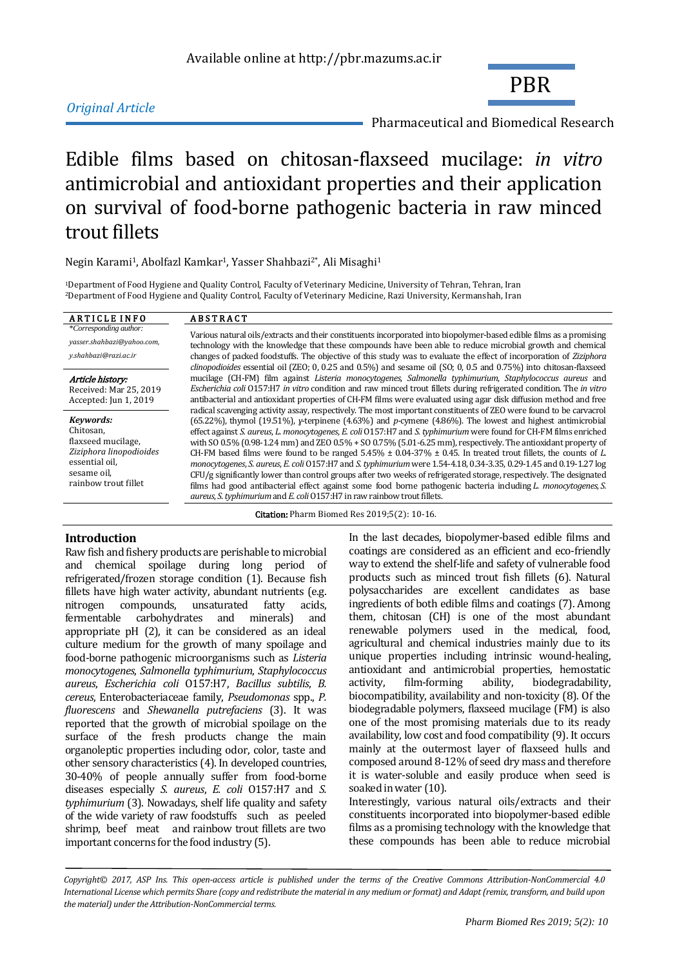## *Original Article*

PBR

Pharmaceutical and Biomedical Research

# Edible films based on chitosan-flaxseed mucilage: *in vitro* antimicrobial and antioxidant properties and their application on survival of food-borne pathogenic bacteria in raw minced trout fillets

Negin Karami<sup>1</sup>, Abolfazl Kamkar<sup>1</sup>, Yasser Shahbazi<sup>2\*</sup>, Ali Misaghi<sup>1</sup>

<sup>1</sup>Department of Food Hygiene and Quality Control, Faculty of Veterinary Medicine, University of Tehran, Tehran, Iran <sup>2</sup>Department of Food Hygiene and Quality Control, Faculty of Veterinary Medicine, Razi University, Kermanshah, Iran

## ARTICLE INFO ABSTRACT

\**Corresponding author: [yasser.shahbazi@yahoo.com,](mailto:yasser.shahbazi@yahoo.com)* 

*y.shahbazi@razi.ac.ir*

Article history: Received: Mar 25, 2019 Accepted: Jun 1, 2019

*Keywords:* Chitosan, flaxseed mucilage, *Ziziphora linopodioides*  essential oil, sesame oil, rainbow trout fillet

Various natural oils/extracts and their constituents incorporated into biopolymer-based edible films as a promising technology with the knowledge that these compounds have been able to reduce microbial growth and chemical changes of packed foodstuffs. The objective of this study was to evaluate the effect of incorporation of *Ziziphora clinopodioides* essential oil (ZEO; 0, 0.25 and 0.5%) and sesame oil (SO; 0, 0.5 and 0.75%) into chitosan-flaxseed mucilage (CH-FM) film against *Listeria monocytogenes*, *Salmonella typhimurium*, *Staphylococcus aureus* and *Escherichia coli* O157:H7 *in vitro* condition and raw minced trout fillets during refrigerated condition. The *in vitro* antibacterial and antioxidant properties of CH-FM films were evaluated using agar disk diffusion method and free radical scavenging activity assay, respectively. The most important constituents of ZEO were found to be carvacrol (65.22%), thymol (19.51%), *ɣ*-terpinene (4.63%) and *p-*cymene (4.86%). The lowest and highest antimicrobial effect against *S. aureus*, *L. monocytogenes*, *E. coli* O157:H7 and *S. typhimurium* were found for CH-FM films enriched with SO 0.5% (0.98-1.24 mm) and ZEO 0.5% + SO 0.75% (5.01-6.25 mm), respectively. The antioxidant property of CH-FM based films were found to be ranged  $5.45\% \pm 0.04-37\% \pm 0.45$ . In treated trout fillets, the counts of *L*. *monocytogenes*, *S. aureus*, *E. coli* O157:H7 and *S. typhimurium* were 1.54-4.18, 0.34-3.35, 0.29-1.45 and 0.19-1.27 log CFU/g significantly lower than control groups after two weeks of refrigerated storage, respectively. The designated films had good antibacterial effect against some food borne pathogenic bacteria including *L. monocytogenes*, *S. aureus*, *S. typhimurium*and *E. coli*O157:H7 in raw rainbow trout fillets.

Citation: Pharm Biomed Res 2019;5(2): 10-16.

**Introduction**  Raw fish and fishery products are perishable to microbial and chemical spoilage during long period of refrigerated/frozen storage condition [\(1\)](#page-5-0). Because fish fillets have high water activity, abundant nutrients (e.g. nitrogen compounds, unsaturated fatty acids, fermentable carbohydrates and minerals) and appropriate pH [\(2\)](#page-5-1), it can be considered as an ideal culture medium for the growth of many spoilage and food-borne pathogenic microorganisms such as *Listeria monocytogenes*, *Salmonella typhimurium*, *Staphylococcus aureus*, *Escherichia coli* O157:H7, *Bacillus subtilis*, *B. cereus*, Enterobacteriaceae family, *Pseudomonas* spp., *P. fluorescens* and *Shewanella putrefaciens* [\(3\)](#page-5-2). It was reported that the growth of microbial spoilage on the surface of the fresh products change the main organoleptic properties including odor, color, taste and other sensory characteristics [\(4\)](#page-5-3). In developed countries, 30-40% of people annually suffer from food-borne diseases especially *S. aureus*, *E. coli* O157:H7 and *S. typhimurium* [\(3\)](#page-5-2). Nowadays, shelf life quality and safety of the wide variety of raw foodstuffs such as peeled shrimp, beef meat and rainbow trout fillets are two important concerns for the food industry [\(5\)](#page-5-4).

In the last decades, biopolymer-based edible films and coatings are considered as an efficient and eco-friendly way to extend the shelf-life and safety of vulnerable food products such as minced trout fish fillets [\(6\)](#page-5-5). Natural polysaccharides are excellent candidates as base ingredients of both edible films and coatings [\(7\)](#page-5-6). Among them, chitosan (CH) is one of the most abundant renewable polymers used in the medical, food, agricultural and chemical industries mainly due to its unique properties including intrinsic wound-healing, antioxidant and antimicrobial properties, hemostatic activity, film-forming ability, biodegradability, biocompatibility, availability and non-toxicity [\(8\)](#page-5-7). Of the biodegradable polymers, flaxseed mucilage (FM) is also one of the most promising materials due to its ready availability, low cost and food compatibility [\(9\)](#page-5-8). It occurs mainly at the outermost layer of flaxseed hulls and composed around 8-12% of seed dry mass and therefore it is water-soluble and easily produce when seed is soaked in water [\(10\)](#page-5-9).

Interestingly, various natural oils/extracts and their constituents incorporated into biopolymer-based edible films as a promising technology with the knowledge that these compounds has been able to reduce microbial

*Copyright© 2017, ASP Ins. This open-access article is published under the terms of the Creative Commons Attribution-NonCommercial 4.0 International License which permits Share (copy and redistribute the material in any medium or format) and Adapt (remix, transform, and build upon the material) under the Attribution-NonCommercial terms.*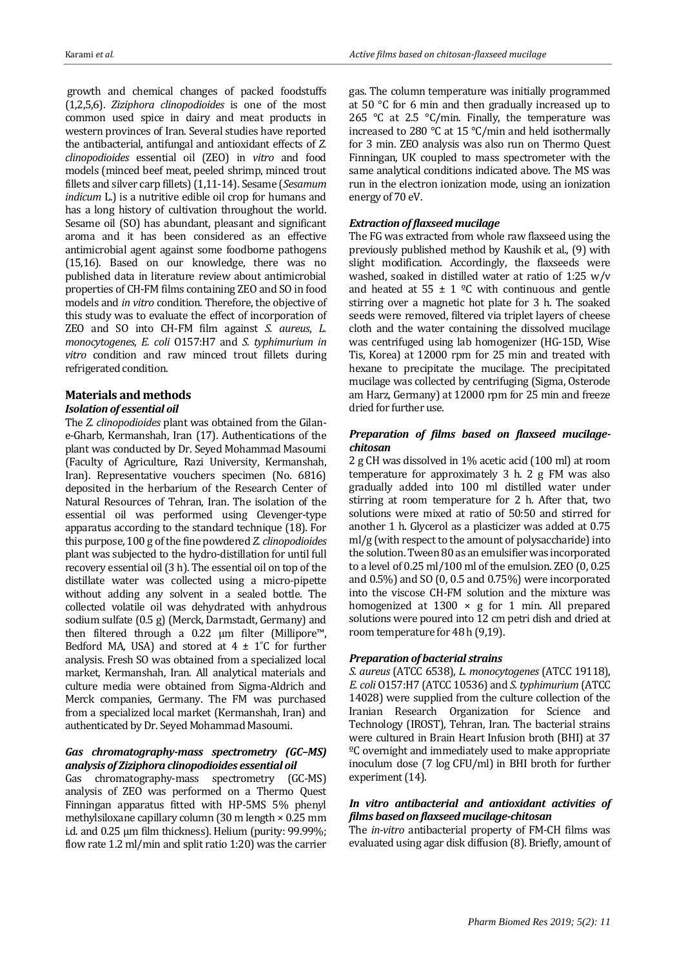growth and chemical changes of packed foodstuffs [\(1,](#page-5-0)[2,](#page-5-1)[5,](#page-5-4)[6\)](#page-5-5). *Ziziphora clinopodioides* is one of the most common used spice in dairy and meat products in western provinces of Iran. Several studies have reported the antibacterial, antifungal and antioxidant effects of *Z. clinopodioides* essential oil (ZEO) in *vitro* and food models (minced beef meat, peeled shrimp, minced trout fillets and silver carp fillets)[\(1,](#page-5-0)[11-14\)](#page-5-10). Sesame (*Sesamum indicum* L.) is a nutritive edible oil crop for humans and has a long history of cultivation throughout the world. Sesame oil (SO) has abundant, pleasant and significant aroma and it has been considered as an effective antimicrobial agent against some foodborne pathogens [\(15,](#page-5-11)[16\)](#page-5-12). Based on our knowledge, there was no published data in literature review about antimicrobial properties of CH-FM films containing ZEO and SO in food models and *in vitro* condition. Therefore, the objective of this study was to evaluate the effect of incorporation of ZEO and SO into CH-FM film against *S. aureus*, *L. monocytogenes*, *E. coli* O157:H7 and *S. typhimurium in vitro* condition and raw minced trout fillets during refrigerated condition.

## **Materials and methods**

## *Isolation of essential oil*

The *Z. clinopodioides* plant was obtained from the Gilane-Gharb, Kermanshah, Iran [\(17\)](#page-5-13). Authentications of the plant was conducted by Dr. Seyed Mohammad Masoumi (Faculty of Agriculture, Razi University, Kermanshah, Iran). Representative vouchers specimen (No. 6816) deposited in the herbarium of the Research Center of Natural Resources of Tehran, Iran. The isolation of the essential oil was performed using Clevenger-type apparatus according to the standard technique [\(18\)](#page-5-14). For this purpose, 100 g of the fine powdered *Z. clinopodioides*  plant was subjected to the hydro-distillation for until full recovery essential oil (3 h). The essential oil on top of the distillate water was collected using a micro-pipette without adding any solvent in a sealed bottle. The collected volatile oil was dehydrated with anhydrous sodium sulfate (0.5 g) (Merck, Darmstadt, Germany) and then filtered through a 0.22 μm filter (Millipore™, Bedford MA, USA) and stored at  $4 \pm 1^{\circ}$ C for further analysis. Fresh SO was obtained from a specialized local market, Kermanshah, Iran. All analytical materials and culture media were obtained from Sigma-Aldrich and Merck companies, Germany. The FM was purchased from a specialized local market (Kermanshah, Iran) and authenticated by Dr. Seyed Mohammad Masoumi.

## *Gas chromatography-mass spectrometry (GC–MS) analysis of Ziziphora clinopodioides essential oil*

Gas chromatography-mass spectrometry (GC-MS) analysis of ZEO was performed on a Thermo Quest Finningan apparatus fitted with HP-5MS 5% phenyl methylsiloxane capillary column (30 m length × 0.25 mm i.d. and 0.25 µm film thickness). Helium (purity: 99.99%; flow rate 1.2 ml/min and split ratio 1:20) was the carrier gas. The column temperature was initially programmed at 50 °C for 6 min and then gradually increased up to 265 °C at 2.5 °C/min. Finally, the temperature was increased to 280 °C at 15 °C/min and held isothermally for 3 min. ZEO analysis was also run on Thermo Quest Finningan, UK coupled to mass spectrometer with the same analytical conditions indicated above. The MS was run in the electron ionization mode, using an ionization energy of 70 eV.

## *Extraction of flaxseed mucilage*

The FG was extracted from whole raw flaxseed using the previously published method by Kaushik et al., [\(9\)](#page-5-8) with slight modification. Accordingly, the flaxseeds were washed, soaked in distilled water at ratio of 1:25 w/v and heated at  $55 \pm 1$  °C with continuous and gentle stirring over a magnetic hot plate for 3 h. The soaked seeds were removed, filtered via triplet layers of cheese cloth and the water containing the dissolved mucilage was centrifuged using lab homogenizer (HG-15D, Wise Tis, Korea) at 12000 rpm for 25 min and treated with hexane to precipitate the mucilage. The precipitated mucilage was collected by centrifuging (Sigma, Osterode am Harz, Germany) at 12000 rpm for 25 min and freeze dried for further use.

## *Preparation of films based on flaxseed mucilagechitosan*

2 g CH was dissolved in 1% acetic acid (100 ml) at room temperature for approximately 3 h. 2 g FM was also gradually added into 100 ml distilled water under stirring at room temperature for 2 h. After that, two solutions were mixed at ratio of 50:50 and stirred for another 1 h. Glycerol as a plasticizer was added at 0.75 ml/g (with respect to the amount of polysaccharide) into the solution. Tween 80 as an emulsifier was incorporated to a level of 0.25 ml/100 ml of the emulsion. ZEO (0, 0.25 and 0.5%) and SO (0, 0.5 and 0.75%) were incorporated into the viscose CH-FM solution and the mixture was homogenized at  $1300 \times g$  for 1 min. All prepared solutions were poured into 12 cm petri dish and dried at room temperature for 48 h [\(9](#page-5-8)[,19\)](#page-5-15).

### *Preparation of bacterial strains*

*S. aureus* (ATCC 6538), *L. monocytogenes* (ATCC 19118), *E. coli* O157:H7 (ATCC 10536) and *S. typhimurium* (ATCC 14028) were supplied from the culture collection of the Iranian Research Organization for Science and Technology (IROST), Tehran, Iran. The bacterial strains were cultured in Brain Heart Infusion broth (BHI) at 37 ºC overnight and immediately used to make appropriate inoculum dose (7 log CFU/ml) in BHI broth for further experiment [\(14\)](#page-5-16).

## *In vitro antibacterial and antioxidant activities of films based on flaxseed mucilage-chitosan*

The *in-vitro* antibacterial property of FM-CH films was evaluated using agar disk diffusion [\(8\)](#page-5-7). Briefly, amount of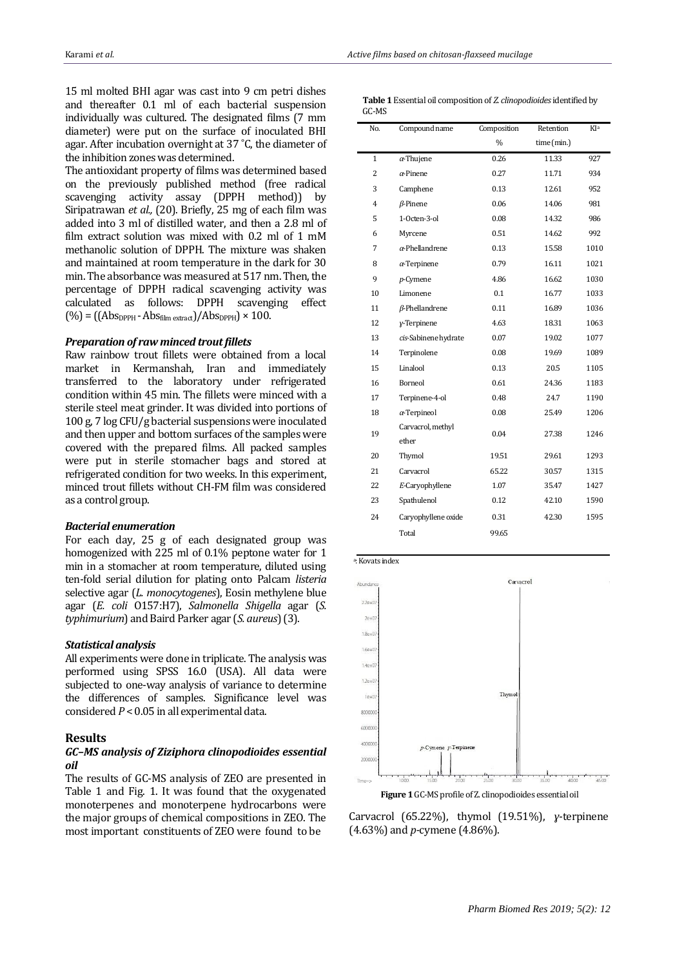15 ml molted BHI agar was cast into 9 cm petri dishes and thereafter 0.1 ml of each bacterial suspension individually was cultured. The designated films (7 mm diameter) were put on the surface of inoculated BHI agar. After incubation overnight at 37 ˚C, the diameter of the inhibition zones was determined.

The antioxidant property of films was determined based on the previously published method (free radical scavenging activity assay (DPPH method)) by Siripatrawan *et al.,* [\(20\)](#page-5-17). Briefly, 25 mg of each film was added into 3 ml of distilled water, and then a 2.8 ml of film extract solution was mixed with 0.2 ml of 1 mM methanolic solution of DPPH. The mixture was shaken and maintained at room temperature in the dark for 30 min. The absorbance was measured at 517 nm. Then, the percentage of DPPH radical scavenging activity was calculated as follows: DPPH scavenging effect  $(\% ) = ((Abs_{DPPH} - Abs_{film\,extract})/Abs_{DPPH}) \times 100.$ 

#### *Preparation of raw minced trout fillets*

Raw rainbow trout fillets were obtained from a local market in Kermanshah, Iran and immediately transferred to the laboratory under refrigerated condition within 45 min. The fillets were minced with a sterile steel meat grinder. It was divided into portions of 100 g, 7 log CFU/g bacterial suspensions were inoculated and then upper and bottom surfaces of the samples were covered with the prepared films. All packed samples were put in sterile stomacher bags and stored at refrigerated condition for two weeks. In this experiment, minced trout fillets without CH-FM film was considered as a control group.

#### *Bacterial enumeration*

For each day, 25 g of each designated group was homogenized with 225 ml of 0.1% peptone water for 1 min in a stomacher at room temperature, diluted using ten-fold serial dilution for plating onto Palcam *listeria* selective agar (*L. monocytogenes*), Eosin methylene blue agar (*E. coli* O157:H7), *Salmonella Shigella* agar (*S. typhimurium*) and Baird Parker agar (*S. aureus*) [\(3\)](#page-5-2).

#### *Statistical analysis*

All experiments were done in triplicate. The analysis was performed using SPSS 16.0 (USA). All data were subjected to one-way analysis of variance to determine the differences of samples. Significance level was considered *P* < 0.05 in all experimental data.

#### **Results**

#### *GC–MS analysis of Ziziphora clinopodioides essential oil*

The results of GC-MS analysis of ZEO are presented in Table 1 and Fig. 1. It was found that the oxygenated monoterpenes and monoterpene hydrocarbons were the major groups of chemical compositions in ZEO. The most important constituents of ZEO were found to be

 **Table 1** Essential oil composition of *Z. clinopodioides* identified by GC-MS

| No.            | Compound name          | Composition   | Retention   | KIa  |
|----------------|------------------------|---------------|-------------|------|
|                |                        | $\frac{0}{0}$ | time (min.) |      |
| $\mathbf 1$    | $\alpha$ -Thujene      | 0.26          | 11.33       | 927  |
| 2              | $\alpha$ -Pinene       | 0.27          | 11.71       | 934  |
| 3              | Camphene               | 0.13          | 12.61       | 952  |
| $\overline{4}$ | $\beta$ -Pinene        | 0.06          | 14.06       | 981  |
| 5              | 1-Octen-3-ol           | 0.08          | 14.32       | 986  |
| 6              | Myrcene                | 0.51          | 14.62       | 992  |
| 7              | $\alpha$ -Phellandrene | 0.13          | 15.58       | 1010 |
| 8              | $\alpha$ -Terpinene    | 0.79          | 16.11       | 1021 |
| 9              | $p$ -Cymene            | 4.86          | 16.62       | 1030 |
| 10             | Limonene               | 0.1           | 16.77       | 1033 |
| 11             | $\beta$ -Phellandrene  | 0.11          | 16.89       | 1036 |
| 12             | y-Terpinene            | 4.63          | 18.31       | 1063 |
| 13             | cis-Sabinene hydrate   | 0.07          | 19.02       | 1077 |
| 14             | Terpinolene            | 0.08          | 19.69       | 1089 |
| 15             | Linalool               | 0.13          | 20.5        | 1105 |
| 16             | Borneol                | 0.61          | 24.36       | 1183 |
| 17             | Terpinene-4-ol         | 0.48          | 24.7        | 1190 |
| 18             | $\alpha$ -Terpineol    | 0.08          | 25.49       | 1206 |
| 19             | Carvacrol, methyl      | 0.04          | 27.38       | 1246 |
|                | ether                  |               |             |      |
| 20             | Thymol                 | 19.51         | 29.61       | 1293 |
| 21             | Carvacrol              | 65.22         | 30.57       | 1315 |
| 22             | E-Caryophyllene        | 1.07          | 35.47       | 1427 |
| 23             | Spathulenol            | 0.12          | 42.10       | 1590 |
| 24             | Caryophyllene oxide    | 0.31          | 42.30       | 1595 |
|                | Total                  | 99.65         |             |      |
|                |                        |               |             |      |



**Figure 1** GC-MS profile of Z. clinopodioides essential oil

Carvacrol (65.22%), thymol (19.51%), *ɣ*-terpinene (4.63%) and *p-*cymene (4.86%).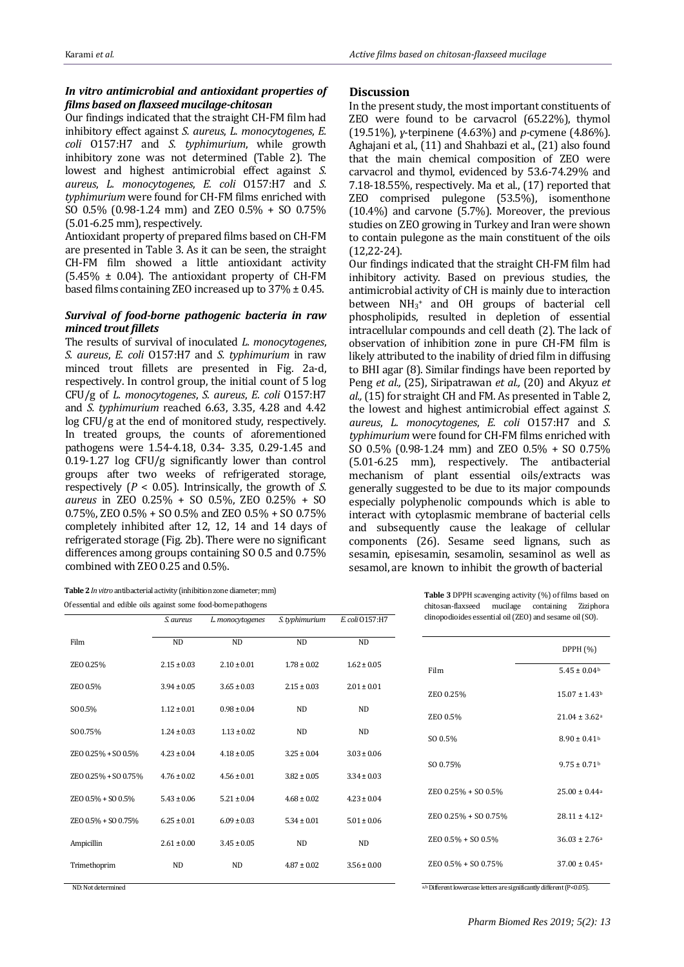## *In vitro antimicrobial and antioxidant properties of films based on flaxseed mucilage-chitosan*

Our findings indicated that the straight CH-FM film had inhibitory effect against *S. aureus*, *L. monocytogenes*, *E. coli* O157:H7 and *S. typhimurium*, while growth inhibitory zone was not determined (Table 2). The lowest and highest antimicrobial effect against *S. aureus*, *L. monocytogenes*, *E. coli* O157:H7 and *S. typhimurium* were found for CH-FM films enriched with SO 0.5% (0.98-1.24 mm) and ZEO 0.5% + SO 0.75% (5.01-6.25 mm), respectively.

Antioxidant property of prepared films based on CH-FM are presented in Table 3. As it can be seen, the straight CH-FM film showed a little antioxidant activity  $(5.45\% \pm 0.04)$ . The antioxidant property of CH-FM based films containing ZEO increased up to  $37\% \pm 0.45$ .

## *Survival of food-borne pathogenic bacteria in raw minced trout fillets*

The results of survival of inoculated *L. monocytogenes*, *S. aureus*, *E. coli* O157:H7 and *S. typhimurium* in raw minced trout fillets are presented in Fig. 2a-d, respectively. In control group, the initial count of 5 log CFU/g of *L. monocytogenes*, *S. aureus*, *E. coli* O157:H7 and *S. typhimurium* reached 6.63, 3.35, 4.28 and 4.42 log CFU/g at the end of monitored study, respectively. In treated groups, the counts of aforementioned pathogens were 1.54-4.18, 0.34- 3.35, 0.29-1.45 and 0.19-1.27 log CFU/g significantly lower than control groups after two weeks of refrigerated storage, respectively (*P* < 0.05). Intrinsically, the growth of *S. aureus* in ZEO 0.25% + SO 0.5%, ZEO 0.25% + SO 0.75%, ZEO 0.5% + SO 0.5% and ZEO 0.5% + SO 0.75% completely inhibited after 12, 12, 14 and 14 days of refrigerated storage (Fig. 2b). There were no significant differences among groups containing SO 0.5 and 0.75% combined with ZEO 0.25 and 0.5%.

**Table2***In vitro* antibacterial activity (inhibition zone diameter; mm) Of essential and edible oils against some food-borne pathogens

**Discussion**

In the present study, the most important constituents of ZEO were found to be carvacrol (65.22%), thymol (19.51%), *ɣ*-terpinene (4.63%) and *p-*cymene (4.86%). Aghajani et al., [\(11\)](#page-5-10) and Shahbazi et al., [\(21\)](#page-5-18) also found that the main chemical composition of ZEO were carvacrol and thymol, evidenced by 53.6-74.29% and 7.18-18.55%, respectively. Ma et al., [\(17\)](#page-5-13) reported that ZEO comprised pulegone (53.5%), isomenthone (10.4%) and carvone (5.7%). Moreover, the previous studies on ZEO growing in Turkey and Iran were shown to contain pulegone as the main constituent of the oils [\(12,](#page-5-19)[22-24\)](#page-5-20).

Our findings indicated that the straight CH-FM film had inhibitory activity. Based on previous studies, the antimicrobial activity of CH is mainly due to interaction between NH<sub>3</sub><sup>+</sup> and OH groups of bacterial cell phospholipids, resulted in depletion of essential intracellular compounds and cell death [\(2\)](#page-5-1). The lack of observation of inhibition zone in pure CH-FM film is likely attributed to the inability of dried film in diffusing to BHI agar [\(8\)](#page-5-7). Similar findings have been reported by Peng *et al.,* [\(25\)](#page-5-21), Siripatrawan *et al.,* [\(20\)](#page-5-17) and Akyuz *et al.*, [\(15\)](#page-5-11) for straight CH and FM. As presented in Table 2, the lowest and highest antimicrobial effect against *S. aureus*, *L. monocytogenes*, *E. coli* O157:H7 and *S. typhimurium* were found for CH-FM films enriched with SO 0.5% (0.98-1.24 mm) and ZEO 0.5% + SO 0.75% (5.01-6.25 mm), respectively. The antibacterial mechanism of plant essential oils/extracts was generally suggested to be due to its major compounds especially polyphenolic compounds which is able to interact with cytoplasmic membrane of bacterial cells and subsequently cause the leakage of cellular components [\(26\)](#page-5-22). Sesame seed lignans, such as sesamin, episesamin, sesamolin, sesaminol as well as sesamol, are known to inhibit the growth of bacterial

*S. aureus L. monocytogenes S. typhimurium E. coli* O157:H7 Film ND ND ND ND  $ZEO\ 0.25\%$  2.15 ± 0.03 2.10 ± 0.01 1.78 ± 0.02 1.62 ± 0.05  $ZEO\ 0.5\%$   $3.94 \pm 0.05$   $3.65 \pm 0.03$   $2.15 \pm 0.03$   $2.01 \pm 0.01$  $SO\,0.5\%$  1.12 ± 0.01 0.98 ± 0.04 ND ND  $SO\,0.75\%$  1.24 ± 0.03 1.13 ± 0.02 ND ND  $ZE0.025\% + SO.05\%$   $4.23 \pm 0.04$   $4.18 \pm 0.05$   $3.25 \pm 0.04$   $3.03 \pm 0.06$  $ZEO\ 0.25\% + SO\ 0.75\%$   $4.76 \pm 0.02$   $4.56 \pm 0.01$   $3.82 \pm 0.05$   $3.34 \pm 0.03$  $ZEO\ 0.5\% + SO\ 0.5\%$   $5.43 \pm 0.06$   $5.21 \pm 0.04$   $4.68 \pm 0.02$   $4.23 \pm 0.04$  $ZEO\ 0.5\% + SO\ 0.75\%$  6.25 ± 0.01 6.09 ± 0.03 5.34 ± 0.01 5.01 ± 0.06 Ampicillin 2.61 ± 0.00 3.45 ± 0.05 ND ND Trimethoprim  $ND$  ND  $4.87 + 0.02$   $3.56 + 0.00$ DPPH (%) Film  $5.45 \pm 0.04^{\text{b}}$ ZEO  $0.25\%$  15.07  $\pm$  1.43b ZEO 0.5% 21.04 ± 3.62<sup>a</sup>  $SO(0.5\%)$  8.90 + 0.41b SO 0.75% 9.75 ± 0.71b ZEO 0.25% + SO 0.5% 25.00 ± 0.44<sup>a</sup> ZEO  $0.25\%$  + SO  $0.75\%$  28.11 ± 4.12<sup>a</sup>  $ZEO 0.5\% + SO 0.5\%$  36.03 + 2.76a ZEO  $0.5\% + SO$  0.75% 37.00  $\pm 0.45$ <sup>a</sup> chitosan-flaxseed mucilage containing Ziziphora clinopodioides essential oil (ZEO) and sesame oil (SO).

ND: Not determined

a, b Different lowercase letters are significantly different (P<0.05).

**Table 3** DPPH scavenging activity (%) of films based on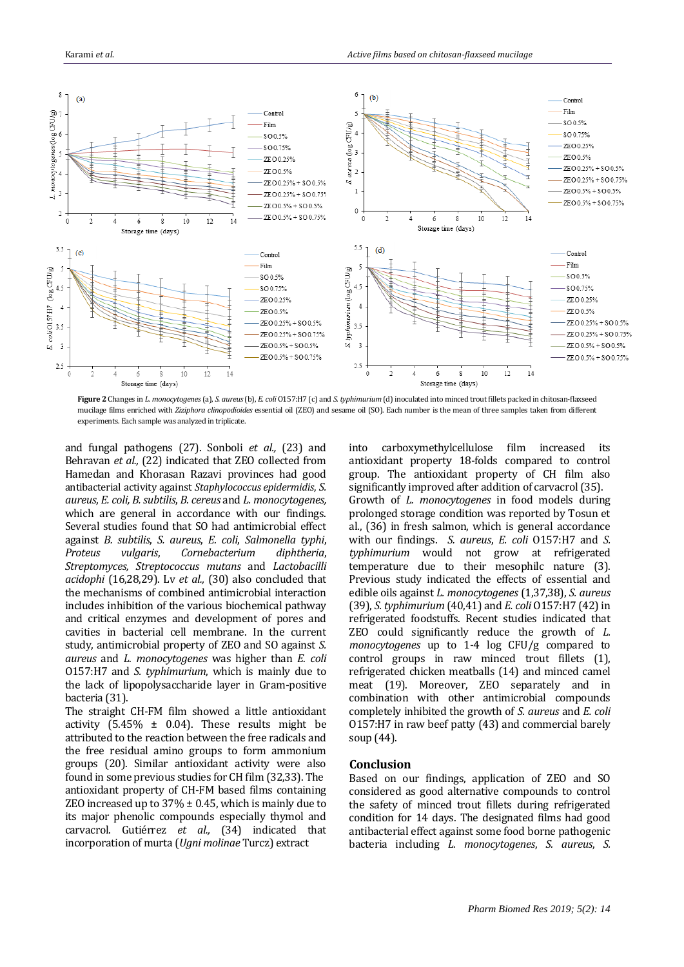

**Figure 2** Changes in *L. monocytogenes* (a), *S. aureus* (b), *E. coli* O157:H7 (c) and *S. typhimurium* (d) inoculated into minced trout fillets packed in chitosan-flaxseed mucilage films enriched with *Ziziphora clinopodioides* essential oil (ZEO) and sesame oil (SO). Each number is the mean of three samples taken from different experiments. Each sample was analyzed in triplicate.

and fungal pathogens [\(27\)](#page-5-23). Sonboli *et al.,* [\(23\)](#page-5-24) and Behravan *et al.,* [\(22\)](#page-5-20) indicated that ZEO collected from Hamedan and Khorasan Razavi provinces had good antibacterial activity against *Staphylococcus epidermidis*, *S. aureus*, *E. coli, B. subtilis*, *B. cereus* and *L. monocytogenes,*  which are general in accordance with our findings. Several studies found that SO had antimicrobial effect against *B. subtilis*, *S. aureus*, *E. coli*, *Salmonella typhi*, *Proteus vulgaris*, *Cornebacterium diphtheria*, *Streptomyces, Streptococcus mutans* and *Lactobacilli acidophi* [\(16,](#page-5-12)[28](#page-5-25)[,29\)](#page-5-26). Lv *et al.,* [\(30\)](#page-5-27) also concluded that the mechanisms of combined antimicrobial interaction includes inhibition of the various biochemical pathway and critical enzymes and development of pores and cavities in bacterial cell membrane. In the current study, antimicrobial property of ZEO and SO against *S. aureus* and *L. monocytogenes* was higher than *E. coli* O157:H7 and *S. typhimurium*, which is mainly due to the lack of lipopolysaccharide layer in Gram-positive bacteria [\(31\)](#page-5-28).

The straight CH-FM film showed a little antioxidant activity  $(5.45\% \pm 0.04)$ . These results might be attributed to the reaction between the free radicals and the free residual amino groups to form ammonium groups [\(20\)](#page-5-17). Similar antioxidant activity were also found in some previous studies for CH film [\(32](#page-5-29)[,33\)](#page-5-30). The antioxidant property of CH-FM based films containing ZEO increased up to  $37\% \pm 0.45$ , which is mainly due to its major phenolic compounds especially thymol and carvacrol. Gutiérrez *et al.,* [\(34\)](#page-5-31) indicated that incorporation of murta (*Ugni molinae* Turcz) extract

into carboxymethylcellulose film increased its antioxidant property 18-folds compared to control group. The antioxidant property of CH film also significantly improved after addition of carvacrol [\(35\)](#page-6-0). Growth of *L. monocytogenes* in food models during prolonged storage condition was reported by Tosun et al., [\(36\)](#page-6-1) in fresh salmon, which is general accordance with our findings. *S. aureus*, *E. coli* O157:H7 and *S. typhimurium* would not grow at refrigerated temperature due to their mesophilc nature [\(3\)](#page-5-2). Previous study indicated the effects of essential and edible oils against *L. monocytogenes* [\(1,](#page-5-0)[37](#page-6-2)[,38\)](#page-6-3), *S. aureus*  [\(39\)](#page-6-4), *S. typhimurium* [\(40,](#page-6-5)[41\)](#page-6-6) and *E. coli* O157:H7 [\(42\)](#page-6-7) in refrigerated foodstuffs. Recent studies indicated that ZEO could significantly reduce the growth of *L. monocytogenes* up to 1-4 log CFU/g compared to control groups in raw minced trout fillets (1), refrigerated chicken meatballs (14) and minced camel meat (19). Moreover, ZEO separately and in combination with other antimicrobial compounds completely inhibited the growth of *S. aureus* and *E. coli* O157:H7 in raw beef patty (43) and commercial barely soup (44).

## **Conclusion**

Based on our findings, application of ZEO and SO considered as good alternative compounds to control the safety of minced trout fillets during refrigerated condition for 14 days. The designated films had good antibacterial effect against some food borne pathogenic bacteria including *L. monocytogenes*, *S. aureus*, *S.*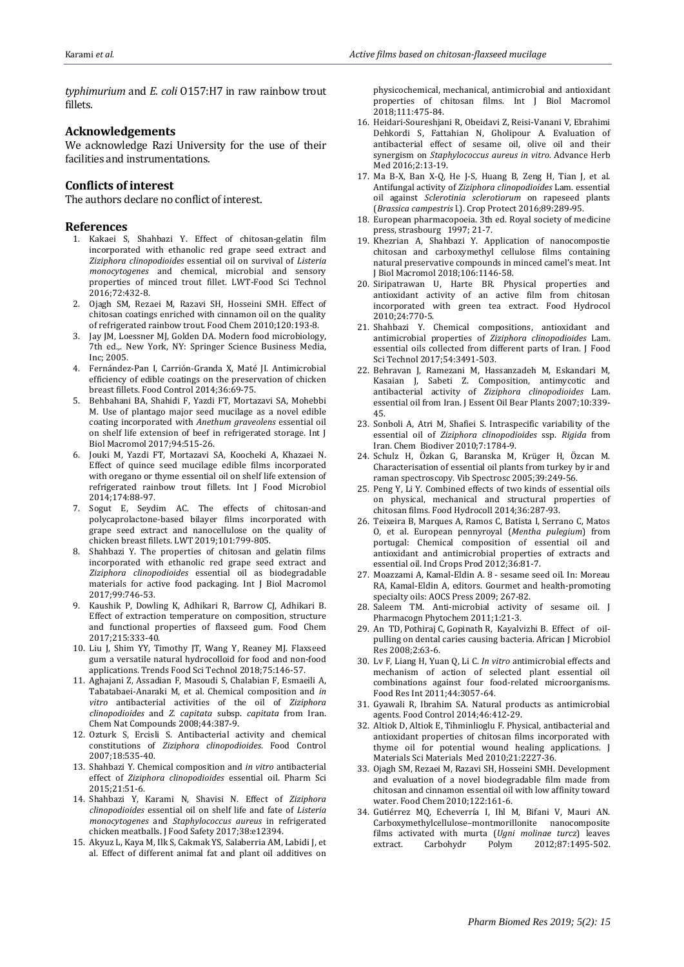*typhimurium* and *E. coli* O157:H7 in raw rainbow trout fillets.

#### **Acknowledgements**

We acknowledge Razi University for the use of their facilities and instrumentations.

#### **Conflicts of interest**

The authors declare no conflict of interest.

#### **References**

- <span id="page-5-0"></span>1. Kakaei S, Shahbazi Y. Effect of chitosan-gelatin film incorporated with ethanolic red grape seed extract and *Ziziphora clinopodioides* essential oil on survival of *Listeria monocytogenes* and chemical, microbial and sensory properties of minced trout fillet. LWT-Food Sci Technol 2016;72:432-8.
- <span id="page-5-1"></span>2. Ojagh SM, Rezaei M, Razavi SH, Hosseini SMH. Effect of chitosan coatings enriched with cinnamon oil on the quality of refrigerated rainbow trout. Food Chem 2010;120:193-8.
- <span id="page-5-2"></span>3. Jay JM, Loessner MJ, Golden DA. Modern food microbiology, 7th ed.,. New York, NY: Springer Science Business Media, Inc; 2005.
- <span id="page-5-3"></span>4. Fernández-Pan I, Carrión-Granda X, Maté JI. Antimicrobial efficiency of edible coatings on the preservation of chicken breast fillets. Food Control 2014;36:69-75.
- <span id="page-5-4"></span>5. Behbahani BA, Shahidi F, Yazdi FT, Mortazavi SA, Mohebbi M. Use of plantago major seed mucilage as a novel edible coating incorporated with *Anethum graveolens* essential oil on shelf life extension of beef in refrigerated storage. Int J Biol Macromol 2017;94:515-26.
- <span id="page-5-5"></span>6. Jouki M, Yazdi FT, Mortazavi SA, Koocheki A, Khazaei N. Effect of quince seed mucilage edible films incorporated with oregano or thyme essential oil on shelf life extension of refrigerated rainbow trout fillets. Int J Food Microbiol 2014;174:88-97.
- <span id="page-5-6"></span>7. Sogut E, Seydim AC. The effects of chitosan-and polycaprolactone-based bilayer films incorporated with grape seed extract and nanocellulose on the quality of chicken breast fillets. LWT 2019;101:799-805.
- <span id="page-5-7"></span>8. Shahbazi Y. The properties of chitosan and gelatin films incorporated with ethanolic red grape seed extract and *Ziziphora clinopodioides* essential oil as biodegradable materials for active food packaging. Int J Biol Macromol 2017;99:746-53.
- <span id="page-5-8"></span>9. Kaushik P, Dowling K, Adhikari R, Barrow CJ, Adhikari B. Effect of extraction temperature on composition, structure and functional properties of flaxseed gum. Food Chem 2017;215:333-40.
- <span id="page-5-9"></span>10. Liu J, Shim YY, Timothy JT, Wang Y, Reaney MJ. Flaxseed gum a versatile natural hydrocolloid for food and non-food applications. Trends Food Sci Technol 2018;75:146-57.
- <span id="page-5-10"></span>11. Aghajani Z, Assadian F, Masoudi S, Chalabian F, Esmaeili A, Tabatabaei-Anaraki M, et al. Chemical composition and *in vitro* antibacterial activities of the oil of *Ziziphora clinopodioides* and *Z. capitata* subsp. *capitata* from Iran. Chem Nat Compounds 2008;44:387-9.
- <span id="page-5-19"></span>12. Ozturk S, Ercisli S. Antibacterial activity and chemical constitutions of *Ziziphora clinopodioides*. Food Control 2007;18:535-40.
- 13. Shahbazi Y. Chemical composition and *in vitro* antibacterial effect of *Ziziphora clinopodioides* essential oil. Pharm Sci 2015;21:51-6.
- <span id="page-5-16"></span>14. Shahbazi Y, Karami N, Shavisi N. Effect of *Ziziphora clinopodioides* essential oil on shelf life and fate of *Listeria monocytogenes* and *Staphylococcus aureus* in refrigerated chicken meatballs. J Food Safety 2017;38:e12394.
- <span id="page-5-11"></span>15. Akyuz L, Kaya M, Ilk S, Cakmak YS, Salaberria AM, Labidi J, et al. Effect of different animal fat and plant oil additives on

physicochemical, mechanical, antimicrobial and antioxidant properties of chitosan films. Int J Biol Macromol 2018;111:475-84.

- <span id="page-5-12"></span>16. Heidari-Soureshjani R, Obeidavi Z, Reisi-Vanani V, Ebrahimi Dehkordi S, Fattahian N, Gholipour A. Evaluation of antibacterial effect of sesame oil, olive oil and their synergism on *Staphylococcus aureus in vitro*. Advance Herb Med 2016;2:13-19.
- <span id="page-5-13"></span>17. Ma B-X, Ban X-Q, He J-S, Huang B, Zeng H, Tian J, et al. Antifungal activity of *Ziziphora clinopodioides* Lam. essential oil against *Sclerotinia sclerotiorum* on rapeseed plants (*Brassica campestris* l.). Crop Protect 2016;89:289-95.
- <span id="page-5-14"></span>18. European pharmacopoeia. 3th ed. Royal society of medicine press, strasbourg 1997; 21-7.
- <span id="page-5-15"></span>19. Khezrian A, Shahbazi Y. Application of nanocompostie chitosan and carboxymethyl cellulose films containing natural preservative compounds in minced camel's meat. Int J Biol Macromol 2018;106:1146-58.
- <span id="page-5-17"></span>20. Siripatrawan U, Harte BR. Physical properties and antioxidant activity of an active film from chitosan incorporated with green tea extract. Food Hydrocol 2010;24:770-5.
- <span id="page-5-18"></span>21. Shahbazi Y. Chemical compositions, antioxidant and antimicrobial properties of *Ziziphora clinopodioides* Lam. essential oils collected from different parts of Iran. J Food Sci Technol 2017;54:3491-503.
- <span id="page-5-20"></span>22. Behravan J, Ramezani M, Hassanzadeh M, Eskandari M, Kasaian J, Sabeti Z. Composition, antimycotic and antibacterial activity of *Ziziphora clinopodioides* Lam. essential oil from Iran. J Essent Oil Bear Plants 2007;10:339- 45.
- <span id="page-5-24"></span>23. Sonboli A, Atri M, Shafiei S. Intraspecific variability of the essential oil of *Ziziphora clinopodioides* ssp. *Rigida* from Iran. Chem Biodiver 2010;7:1784-9.
- 24. Schulz H, Özkan G, Baranska M, Krüger H, Özcan M. Characterisation of essential oil plants from turkey by ir and raman spectroscopy. Vib Spectrosc 2005;39:249-56.
- <span id="page-5-21"></span>25. Peng Y, Li Y. Combined effects of two kinds of essential oils on physical, mechanical and structural properties of chitosan films. Food Hydrocoll 2014;36:287-93.
- <span id="page-5-22"></span>26. Teixeira B, Marques A, Ramos C, Batista I, Serrano C, Matos O, et al. European pennyroyal (*Mentha pulegium*) from portugal: Chemical composition of essential oil and antioxidant and antimicrobial properties of extracts and essential oil. Ind Crops Prod 2012;36:81-7.
- <span id="page-5-23"></span>27. Moazzami A, Kamal-Eldin A. 8 - sesame seed oil. In: Moreau RA, Kamal-Eldin A, editors. Gourmet and health-promoting specialty oils: AOCS Press 2009; 267-82.
- <span id="page-5-25"></span>28. Saleem TM. Anti-microbial activity of sesame oil. J Pharmacogn Phytochem 2011;1:21-3.
- <span id="page-5-26"></span>29. An TD, Pothiraj C, Gopinath R, Kayalvizhi B. Effect of oilpulling on dental caries causing bacteria. African J Microbiol Res 2008;2:63-6.
- <span id="page-5-27"></span>30. Lv F, Liang H, Yuan Q, Li C. *In vitro* antimicrobial effects and mechanism of action of selected plant essential oil combinations against four food-related microorganisms. Food Res Int 2011;44:3057-64.
- <span id="page-5-28"></span>31. Gyawali R, Ibrahim SA. Natural products as antimicrobial agents. Food Control 2014;46:412-29.
- <span id="page-5-29"></span>32. Altiok D, Altiok E, Tihminlioglu F. Physical, antibacterial and antioxidant properties of chitosan films incorporated with thyme oil for potential wound healing applications. J Materials Sci Materials Med 2010;21:2227-36.
- <span id="page-5-30"></span>33. Ojagh SM, Rezaei M, Razavi SH, Hosseini SMH. Development and evaluation of a novel biodegradable film made from chitosan and cinnamon essential oil with low affinity toward water. Food Chem 2010;122:161-6.
- <span id="page-5-31"></span>34. Gutiérrez MQ, Echeverría I, Ihl M, Bifani V, Mauri AN. Carboxymethylcellulose–montmorillonite nanocomposite films activated with murta (*Ugni molinae turcz*) leaves extract. Carbohydr Polym 2012;87:1495-502.